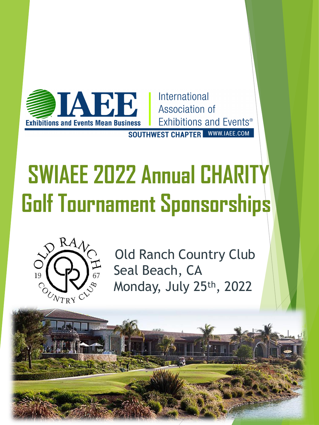

International Association of Exhibitions and Events<sup>®</sup>

**SOUTHWEST CHAPTER** WWW.IAEE.COM

# **SWIAEE 2022 Annual CHARITY GolfTournament Sponsorships**



Old Ranch Country Club Seal Beach, CA Monday, July 25th, 2022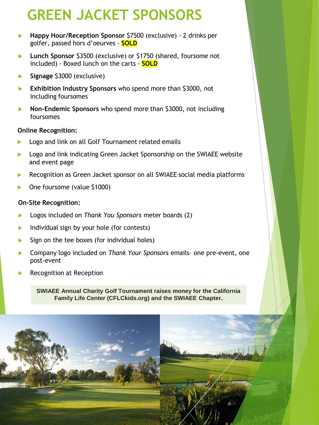## **GREEN JACKET SPONSORS**

- **Happy Hour/Reception Sponsor** \$7500 (exclusive) 2 drinks per golfer, passed hors d'oeurves - **SOLD**
- **Lunch Sponsor** \$3500 (exclusive) or \$1750 (shared, foursome not included) - Boxed lunch on the carts - **SOLD**
- **Signage** \$3000 (exclusive)
- **Exhibition Industry Sponsors** who spend more than \$3000, not including foursomes
- **Non-Endemic Sponsors** who spend more than \$3000, not including foursomes

#### **Online Recognition:**

- Logo and link on all Golf Tournament related emails
- Logo and link indicating Green Jacket Sponsorship on the SWIAEE website and event page
- Recognition as Green Jacket sponsor on all SWIAEE social media platforms
- One foursome (value \$1000)

#### **On-Site Recognition:**

- Logos included on *Thank You Sponsors* meter boards (2)
- Individual sign by your hole (for contests)
- Sign on the tee boxes (for individual holes)
- Company logo included on *Thank Your Sponsors* emails– one pre-event, one post-event
- Recognition at Reception

**SWIAEE Annual Charity Golf Tournament raises money for the California California Family Life Center (CFLCkids.org) and the SWIAEE Chapter. Family Life Center (CFLCkids.org) and the SWIAEE Chapter.**